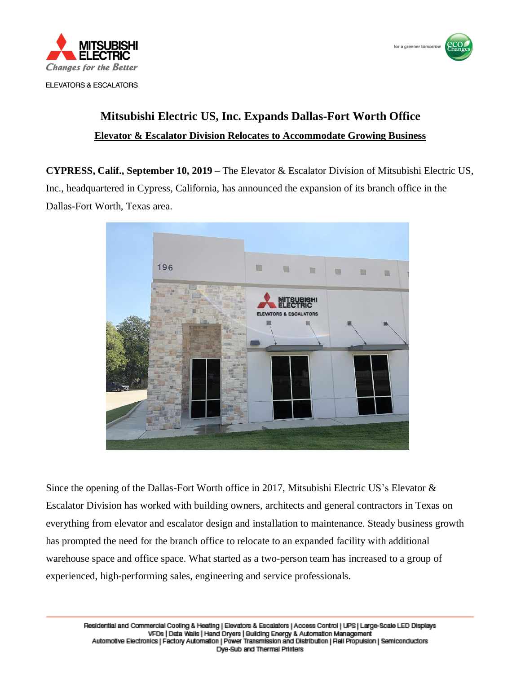



## **Mitsubishi Electric US, Inc. Expands Dallas-Fort Worth Office Elevator & Escalator Division Relocates to Accommodate Growing Business**

**CYPRESS, Calif., September 10, 2019** – The Elevator & Escalator Division of Mitsubishi Electric US, Inc., headquartered in Cypress, California, has announced the expansion of its branch office in the Dallas-Fort Worth, Texas area.



Since the opening of the Dallas-Fort Worth office in 2017, Mitsubishi Electric US's Elevator  $\&$ Escalator Division has worked with building owners, architects and general contractors in Texas on everything from elevator and escalator design and installation to maintenance. Steady business growth has prompted the need for the branch office to relocate to an expanded facility with additional warehouse space and office space. What started as a two-person team has increased to a group of experienced, high-performing sales, engineering and service professionals.